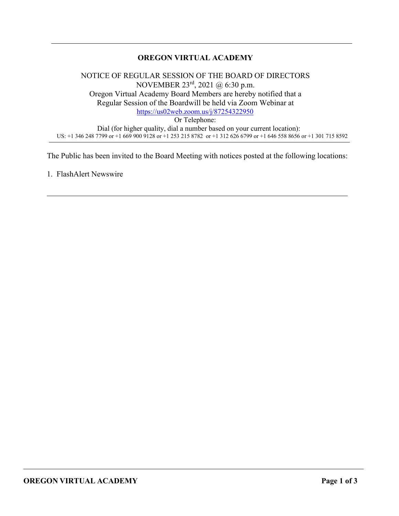# **OREGON VIRTUAL ACADEMY**

NOTICE OF REGULAR SESSION OF THE BOARD OF DIRECTORS NOVEMBER 23rd, 2021 @ 6:30 p.m. Oregon Virtual Academy Board Members are hereby notified that a Regular Session of the Boardwill be held via Zoom Webinar at <https://us02web.zoom.us/j/87254322950> Or Telephone: Dial (for higher quality, dial a number based on your current location): US: +1 346 248 7799 or +1 669 900 9128 or +1 253 215 8782 or +1 312 626 6799 or +1 646 558 8656 or +1 301 715 8592

The Public has been invited to the Board Meeting with notices posted at the following locations:

1. FlashAlert Newswire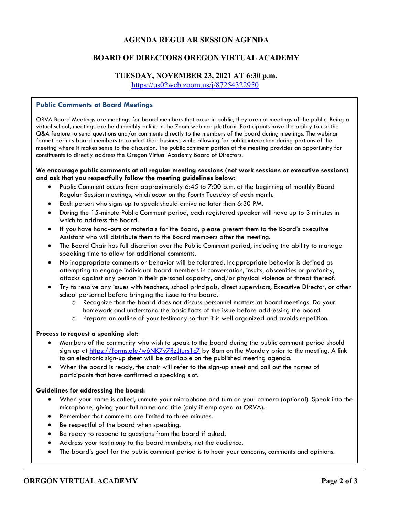#### **AGENDA REGULAR SESSION AGENDA**

#### **BOARD OF DIRECTORS OREGON VIRTUAL ACADEMY**

#### **TUESDAY, NOVEMBER 23, 2021 AT 6:30 p.m.**

<https://us02web.zoom.us/j/87254322950>

#### **Public Comments at Board Meetings**

ORVA Board Meetings are meetings for board members that occur in public, they are not meetings of the public. Being a virtual school, meetings are held monthly online in the Zoom webinar platform. Participants have the ability to use the Q&A feature to send questions and/or comments directly to the members of the board during meetings. The webinar format permits board members to conduct their business while allowing for public interaction during portions of the meeting where it makes sense to the discussion. The public comment portion of the meeting provides an opportunity for constituents to directly address the Oregon Virtual Academy Board of Directors.

#### **We encourage public comments at all regular meeting sessions (not work sessions or executive sessions) and ask that you respectfully follow the meeting guidelines below:**

- Public Comment occurs from approximately 6:45 to 7:00 p.m. at the beginning of monthly Board Regular Session meetings, which occur on the fourth Tuesday of each month.
- Each person who signs up to speak should arrive no later than 6:30 PM.
- During the 15-minute Public Comment period, each registered speaker will have up to 3 minutes in which to address the Board.
- If you have hand-outs or materials for the Board, please present them to the Board's Executive Assistant who will distribute them to the Board members after the meeting.
- The Board Chair has full discretion over the Public Comment period, including the ability to manage speaking time to allow for additional comments.
- No inappropriate comments or behavior will be tolerated. Inappropriate behavior is defined as attempting to engage individual board members in conversation, insults, obscenities or profanity, attacks against any person in their personal capacity, and/or physical violence or threat thereof.
- Try to resolve any issues with teachers, school principals, direct supervisors, Executive Director, or other school personnel before bringing the issue to the board.
	- o Recognize that the board does not discuss personnel matters at board meetings. Do your homework and understand the basic facts of the issue before addressing the board.
	- o Prepare an outline of your testimony so that it is well organized and avoids repetition.

#### **Process to request a speaking slot:**

- Members of the community who wish to speak to the board during the public comment period should sign up at<https://forms.gle/w6NK7v7RzJturs1c7> by 8am on the Monday prior to the meeting. A link to an electronic sign-up sheet will be available on the published meeting agenda.
- When the board is ready, the chair will refer to the sign-up sheet and call out the names of participants that have confirmed a speaking slot.

#### **Guidelines for addressing the board:**

- When your name is called, unmute your microphone and turn on your camera (optional). Speak into the microphone, giving your full name and title (only if employed at ORVA).
- Remember that comments are limited to three minutes.
- Be respectful of the board when speaking.
- Be ready to respond to questions from the board if asked.
- Address your testimony to the board members, not the audience.
- The board's goal for the public comment period is to hear your concerns, comments and opinions.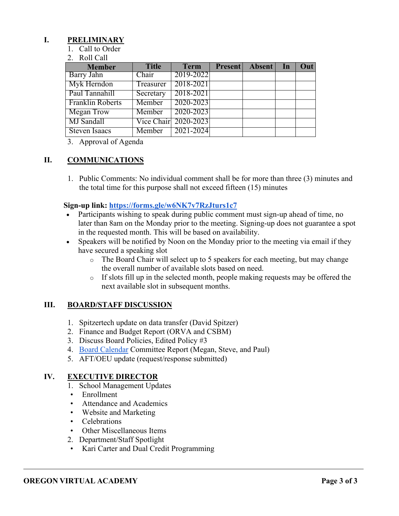### **I. PRELIMINARY**

- 1. Call to Order
- 2. Roll Call

| <b>Member</b>           | <b>Title</b> | <b>Term</b>          | Present Absent In | Out |
|-------------------------|--------------|----------------------|-------------------|-----|
| Barry Jahn              | Chair        | 2019-2022            |                   |     |
| Myk Herndon             | Treasurer    | 2018-2021            |                   |     |
| Paul Tannahill          | Secretary    | 2018-2021            |                   |     |
| <b>Franklin Roberts</b> | Member       | 2020-2023            |                   |     |
| <b>Megan Trow</b>       | Member       | 2020-2023            |                   |     |
| MJ Sandall              |              | Vice Chair 2020-2023 |                   |     |
| Steven Isaacs           | Member       | 2021-2024            |                   |     |

3. Approval of Agenda

## **II. COMMUNICATIONS**

1. Public Comments: No individual comment shall be for more than three (3) minutes and the total time for this purpose shall not exceed fifteen (15) minutes

#### **Sign-up link:<https://forms.gle/w6NK7v7RzJturs1c7>**

- Participants wishing to speak during public comment must sign-up ahead of time, no later than 8am on the Monday prior to the meeting. Signing-up does not guarantee a spot in the requested month. This will be based on availability.
- Speakers will be notified by Noon on the Monday prior to the meeting via email if they have secured a speaking slot
	- $\circ$  The Board Chair will select up to 5 speakers for each meeting, but may change the overall number of available slots based on need.
	- $\circ$  If slots fill up in the selected month, people making requests may be offered the next available slot in subsequent months.

## **III. BOARD/STAFF DISCUSSION**

- 1. Spitzertech update on data transfer (David Spitzer)
- 2. Finance and Budget Report (ORVA and CSBM)
- 3. Discuss Board Policies, Edited Policy #3
- 4. [Board Calendar](https://docs.google.com/document/d/1tVrSGJ6v5gCtv5NNlIoGCFS6zIGPmcuhm6aP9laESig/edit?usp=sharing) Committee Report (Megan, Steve, and Paul)
- 5. AFT/OEU update (request/response submitted)

## **IV. EXECUTIVE DIRECTOR**

- 1. School Management Updates
- Enrollment
- Attendance and Academics
- Website and Marketing
- Celebrations
- Other Miscellaneous Items
- 2. Department/Staff Spotlight
- Kari Carter and Dual Credit Programming